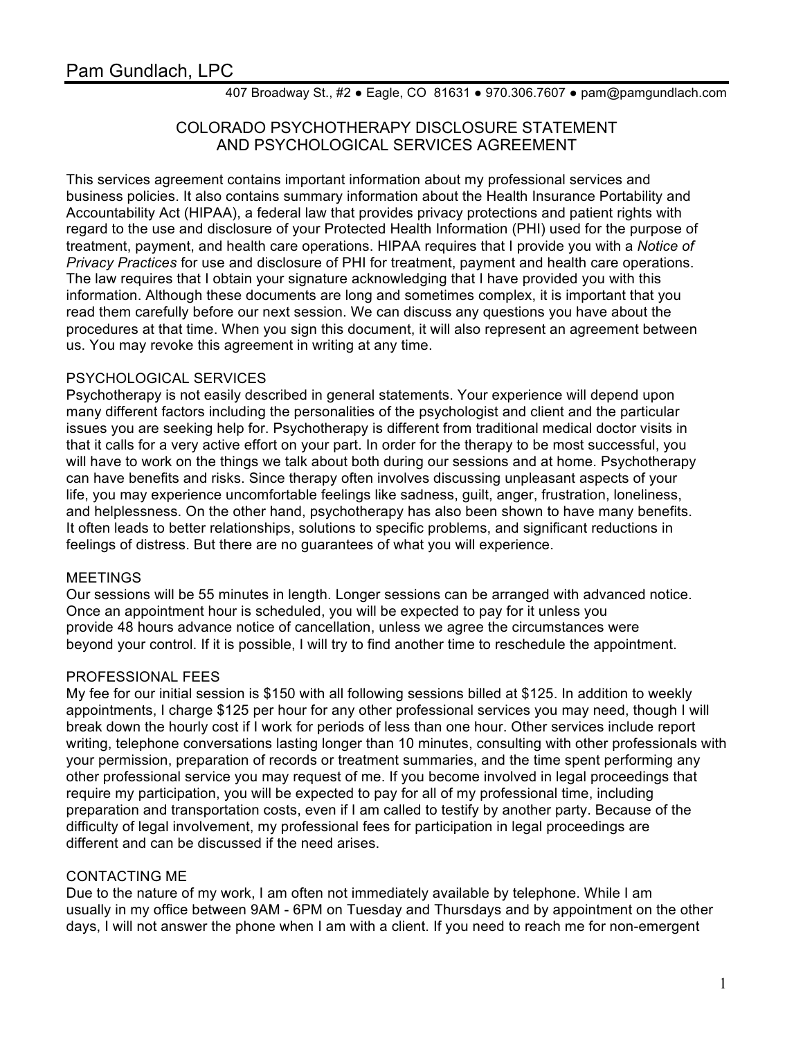407 Broadway St., #2 ● Eagle, CO 81631 ● 970.306.7607 ● pam@pamgundlach.com

# COLORADO PSYCHOTHERAPY DISCLOSURE STATEMENT AND PSYCHOLOGICAL SERVICES AGREEMENT

This services agreement contains important information about my professional services and business policies. It also contains summary information about the Health Insurance Portability and Accountability Act (HIPAA), a federal law that provides privacy protections and patient rights with regard to the use and disclosure of your Protected Health Information (PHI) used for the purpose of treatment, payment, and health care operations. HIPAA requires that I provide you with a *Notice of Privacy Practices* for use and disclosure of PHI for treatment, payment and health care operations. The law requires that I obtain your signature acknowledging that I have provided you with this information. Although these documents are long and sometimes complex, it is important that you read them carefully before our next session. We can discuss any questions you have about the procedures at that time. When you sign this document, it will also represent an agreement between us. You may revoke this agreement in writing at any time.

### PSYCHOLOGICAL SERVICES

Psychotherapy is not easily described in general statements. Your experience will depend upon many different factors including the personalities of the psychologist and client and the particular issues you are seeking help for. Psychotherapy is different from traditional medical doctor visits in that it calls for a very active effort on your part. In order for the therapy to be most successful, you will have to work on the things we talk about both during our sessions and at home. Psychotherapy can have benefits and risks. Since therapy often involves discussing unpleasant aspects of your life, you may experience uncomfortable feelings like sadness, guilt, anger, frustration, loneliness, and helplessness. On the other hand, psychotherapy has also been shown to have many benefits. It often leads to better relationships, solutions to specific problems, and significant reductions in feelings of distress. But there are no guarantees of what you will experience.

#### MEETINGS

Our sessions will be 55 minutes in length. Longer sessions can be arranged with advanced notice. Once an appointment hour is scheduled, you will be expected to pay for it unless you provide 48 hours advance notice of cancellation, unless we agree the circumstances were beyond your control. If it is possible, I will try to find another time to reschedule the appointment.

## PROFESSIONAL FEES

My fee for our initial session is \$150 with all following sessions billed at \$125. In addition to weekly appointments, I charge \$125 per hour for any other professional services you may need, though I will break down the hourly cost if I work for periods of less than one hour. Other services include report writing, telephone conversations lasting longer than 10 minutes, consulting with other professionals with your permission, preparation of records or treatment summaries, and the time spent performing any other professional service you may request of me. If you become involved in legal proceedings that require my participation, you will be expected to pay for all of my professional time, including preparation and transportation costs, even if I am called to testify by another party. Because of the difficulty of legal involvement, my professional fees for participation in legal proceedings are different and can be discussed if the need arises.

## CONTACTING ME

Due to the nature of my work, I am often not immediately available by telephone. While I am usually in my office between 9AM - 6PM on Tuesday and Thursdays and by appointment on the other days, I will not answer the phone when I am with a client. If you need to reach me for non-emergent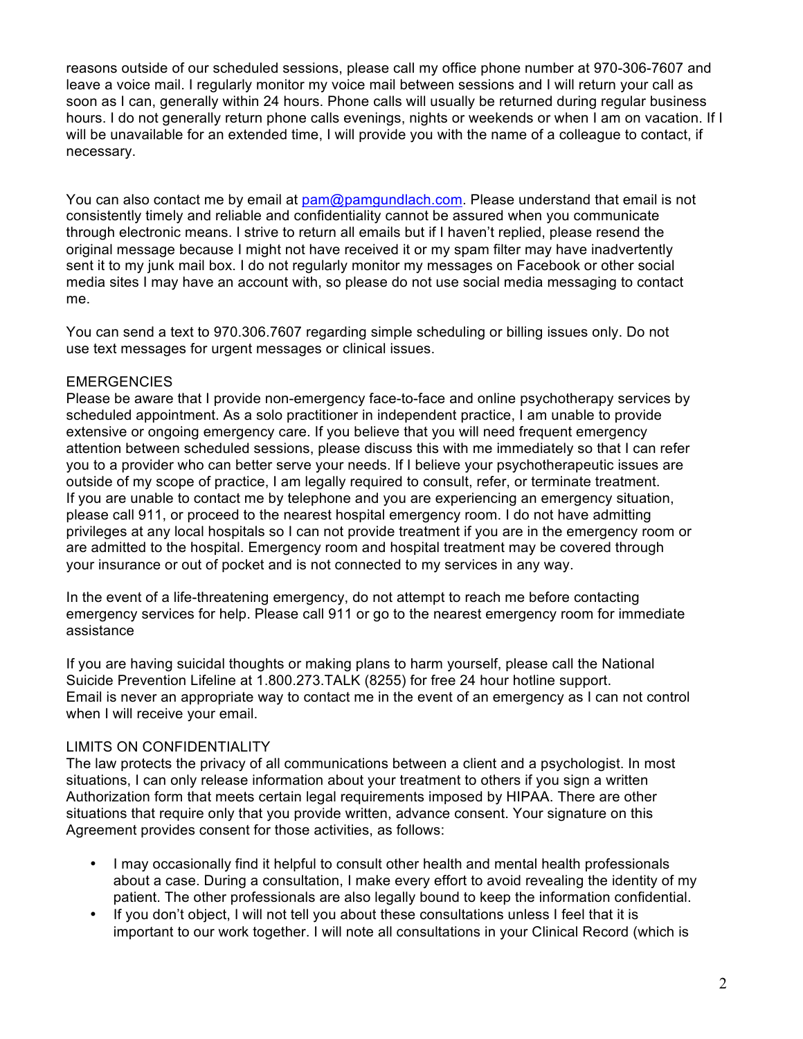reasons outside of our scheduled sessions, please call my office phone number at 970-306-7607 and leave a voice mail. I regularly monitor my voice mail between sessions and I will return your call as soon as I can, generally within 24 hours. Phone calls will usually be returned during regular business hours. I do not generally return phone calls evenings, nights or weekends or when I am on vacation. If I will be unavailable for an extended time, I will provide you with the name of a colleague to contact, if necessary.

You can also contact me by email at pam@pamgundlach.com. Please understand that email is not consistently timely and reliable and confidentiality cannot be assured when you communicate through electronic means. I strive to return all emails but if I haven't replied, please resend the original message because I might not have received it or my spam filter may have inadvertently sent it to my junk mail box. I do not regularly monitor my messages on Facebook or other social media sites I may have an account with, so please do not use social media messaging to contact me.

You can send a text to 970.306.7607 regarding simple scheduling or billing issues only. Do not use text messages for urgent messages or clinical issues.

#### **EMERGENCIES**

Please be aware that I provide non-emergency face-to-face and online psychotherapy services by scheduled appointment. As a solo practitioner in independent practice, I am unable to provide extensive or ongoing emergency care. If you believe that you will need frequent emergency attention between scheduled sessions, please discuss this with me immediately so that I can refer you to a provider who can better serve your needs. If I believe your psychotherapeutic issues are outside of my scope of practice, I am legally required to consult, refer, or terminate treatment. If you are unable to contact me by telephone and you are experiencing an emergency situation, please call 911, or proceed to the nearest hospital emergency room. I do not have admitting privileges at any local hospitals so I can not provide treatment if you are in the emergency room or are admitted to the hospital. Emergency room and hospital treatment may be covered through your insurance or out of pocket and is not connected to my services in any way.

In the event of a life-threatening emergency, do not attempt to reach me before contacting emergency services for help. Please call 911 or go to the nearest emergency room for immediate assistance

If you are having suicidal thoughts or making plans to harm yourself, please call the National Suicide Prevention Lifeline at 1.800.273.TALK (8255) for free 24 hour hotline support. Email is never an appropriate way to contact me in the event of an emergency as I can not control when I will receive your email.

#### LIMITS ON CONFIDENTIALITY

The law protects the privacy of all communications between a client and a psychologist. In most situations, I can only release information about your treatment to others if you sign a written Authorization form that meets certain legal requirements imposed by HIPAA. There are other situations that require only that you provide written, advance consent. Your signature on this Agreement provides consent for those activities, as follows:

- I may occasionally find it helpful to consult other health and mental health professionals about a case. During a consultation, I make every effort to avoid revealing the identity of my patient. The other professionals are also legally bound to keep the information confidential.
- If you don't object, I will not tell you about these consultations unless I feel that it is important to our work together. I will note all consultations in your Clinical Record (which is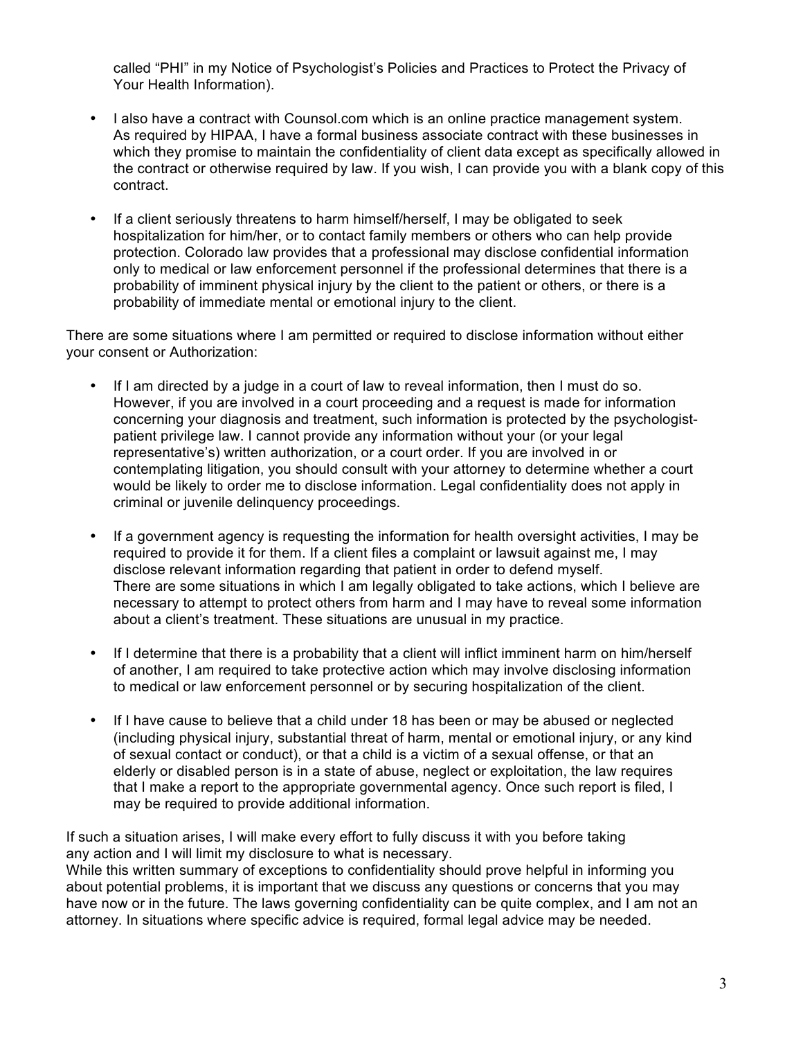called "PHI" in my Notice of Psychologist's Policies and Practices to Protect the Privacy of Your Health Information).

- I also have a contract with Counsol.com which is an online practice management system. As required by HIPAA, I have a formal business associate contract with these businesses in which they promise to maintain the confidentiality of client data except as specifically allowed in the contract or otherwise required by law. If you wish, I can provide you with a blank copy of this contract.
- If a client seriously threatens to harm himself/herself, I may be obligated to seek hospitalization for him/her, or to contact family members or others who can help provide protection. Colorado law provides that a professional may disclose confidential information only to medical or law enforcement personnel if the professional determines that there is a probability of imminent physical injury by the client to the patient or others, or there is a probability of immediate mental or emotional injury to the client.

There are some situations where I am permitted or required to disclose information without either your consent or Authorization:

- If I am directed by a judge in a court of law to reveal information, then I must do so. However, if you are involved in a court proceeding and a request is made for information concerning your diagnosis and treatment, such information is protected by the psychologistpatient privilege law. I cannot provide any information without your (or your legal representative's) written authorization, or a court order. If you are involved in or contemplating litigation, you should consult with your attorney to determine whether a court would be likely to order me to disclose information. Legal confidentiality does not apply in criminal or juvenile delinquency proceedings.
- If a government agency is requesting the information for health oversight activities, I may be required to provide it for them. If a client files a complaint or lawsuit against me, I may disclose relevant information regarding that patient in order to defend myself. There are some situations in which I am legally obligated to take actions, which I believe are necessary to attempt to protect others from harm and I may have to reveal some information about a client's treatment. These situations are unusual in my practice.
- If I determine that there is a probability that a client will inflict imminent harm on him/herself of another, I am required to take protective action which may involve disclosing information to medical or law enforcement personnel or by securing hospitalization of the client.
- If I have cause to believe that a child under 18 has been or may be abused or neglected (including physical injury, substantial threat of harm, mental or emotional injury, or any kind of sexual contact or conduct), or that a child is a victim of a sexual offense, or that an elderly or disabled person is in a state of abuse, neglect or exploitation, the law requires that I make a report to the appropriate governmental agency. Once such report is filed, I may be required to provide additional information.

If such a situation arises, I will make every effort to fully discuss it with you before taking any action and I will limit my disclosure to what is necessary.

While this written summary of exceptions to confidentiality should prove helpful in informing you about potential problems, it is important that we discuss any questions or concerns that you may have now or in the future. The laws governing confidentiality can be quite complex, and I am not an attorney. In situations where specific advice is required, formal legal advice may be needed.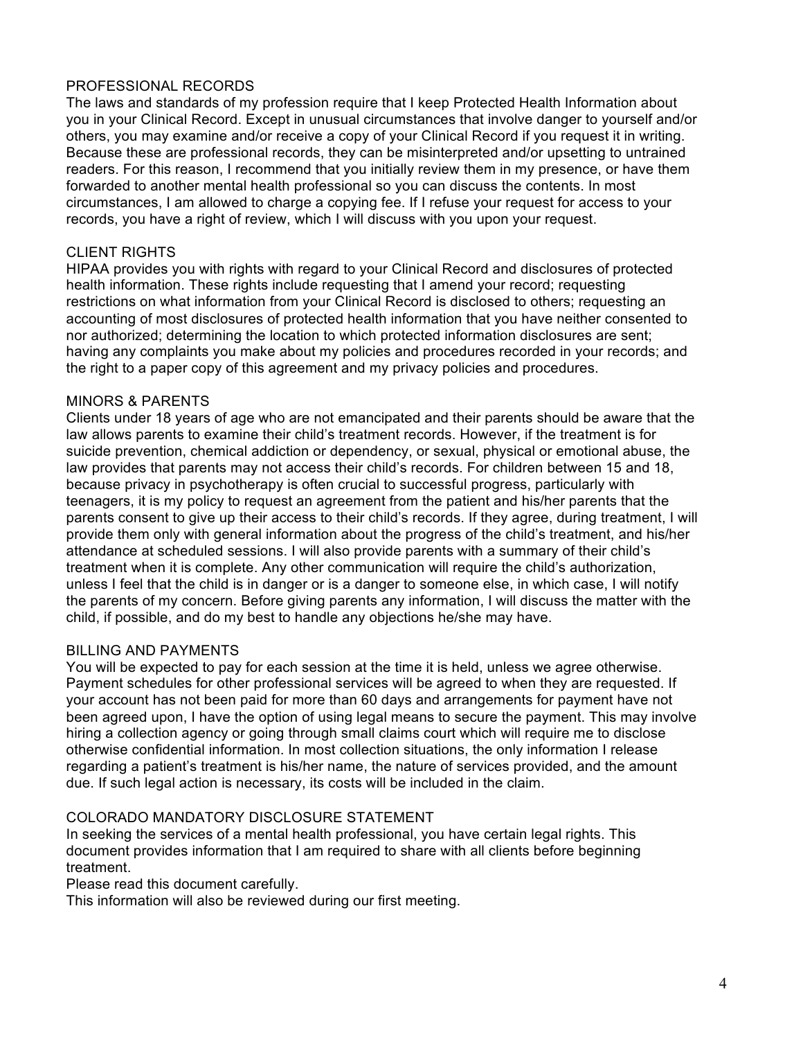### PROFESSIONAL RECORDS

The laws and standards of my profession require that I keep Protected Health Information about you in your Clinical Record. Except in unusual circumstances that involve danger to yourself and/or others, you may examine and/or receive a copy of your Clinical Record if you request it in writing. Because these are professional records, they can be misinterpreted and/or upsetting to untrained readers. For this reason, I recommend that you initially review them in my presence, or have them forwarded to another mental health professional so you can discuss the contents. In most circumstances, I am allowed to charge a copying fee. If I refuse your request for access to your records, you have a right of review, which I will discuss with you upon your request.

#### CLIENT RIGHTS

HIPAA provides you with rights with regard to your Clinical Record and disclosures of protected health information. These rights include requesting that I amend your record; requesting restrictions on what information from your Clinical Record is disclosed to others; requesting an accounting of most disclosures of protected health information that you have neither consented to nor authorized; determining the location to which protected information disclosures are sent; having any complaints you make about my policies and procedures recorded in your records; and the right to a paper copy of this agreement and my privacy policies and procedures.

#### MINORS & PARENTS

Clients under 18 years of age who are not emancipated and their parents should be aware that the law allows parents to examine their child's treatment records. However, if the treatment is for suicide prevention, chemical addiction or dependency, or sexual, physical or emotional abuse, the law provides that parents may not access their child's records. For children between 15 and 18, because privacy in psychotherapy is often crucial to successful progress, particularly with teenagers, it is my policy to request an agreement from the patient and his/her parents that the parents consent to give up their access to their child's records. If they agree, during treatment, I will provide them only with general information about the progress of the child's treatment, and his/her attendance at scheduled sessions. I will also provide parents with a summary of their child's treatment when it is complete. Any other communication will require the child's authorization, unless I feel that the child is in danger or is a danger to someone else, in which case, I will notify the parents of my concern. Before giving parents any information, I will discuss the matter with the child, if possible, and do my best to handle any objections he/she may have.

#### BILLING AND PAYMENTS

You will be expected to pay for each session at the time it is held, unless we agree otherwise. Payment schedules for other professional services will be agreed to when they are requested. If your account has not been paid for more than 60 days and arrangements for payment have not been agreed upon, I have the option of using legal means to secure the payment. This may involve hiring a collection agency or going through small claims court which will require me to disclose otherwise confidential information. In most collection situations, the only information I release regarding a patient's treatment is his/her name, the nature of services provided, and the amount due. If such legal action is necessary, its costs will be included in the claim.

#### COLORADO MANDATORY DISCLOSURE STATEMENT

In seeking the services of a mental health professional, you have certain legal rights. This document provides information that I am required to share with all clients before beginning treatment.

Please read this document carefully.

This information will also be reviewed during our first meeting.